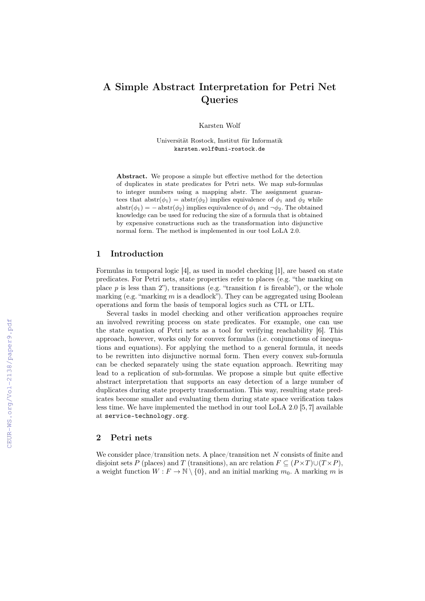# A Simple Abstract Interpretation for Petri Net Queries

Karsten Wolf

Universität Rostock, Institut für Informatik karsten.wolf@uni-rostock.de

Abstract. We propose a simple but effective method for the detection of duplicates in state predicates for Petri nets. We map sub-formulas to integer numbers using a mapping abstr. The assignment guarantees that  $abstr(\phi_1) = abstr(\phi_2)$  implies equivalence of  $\phi_1$  and  $\phi_2$  while  $abstr(\phi_1) = -abstr(\phi_2)$  implies equivalence of  $\phi_1$  and  $\neg \phi_2$ . The obtained knowledge can be used for reducing the size of a formula that is obtained by expensive constructions such as the transformation into disjunctive normal form. The method is implemented in our tool LoLA 2.0.

#### $\mathbf{1}$ Introduction

Formulas in temporal logic [4], as used in model checking [1], are based on state predicates. For Petri nets, state properties refer to places (e.g. "the marking on place p is less than 2"), transitions (e.g. "transition t is fireable"), or the whole marking (e.g. "marking  $m$  is a deadlock"). They can be aggregated using Boolean operations and form the basis of temporal logics such as CTL or LTL.

Several tasks in model checking and other verification approaches require an involved rewriting process on state predicates. For example, one can use the state equation of Petri nets as a tool for verifying reachability [6]. This approach, however, works only for convex formulas (i.e. conjunctions of inequations and equations). For applying the method to a general formula, it needs to be rewritten into disjunctive normal form. Then every convex sub-formula can be checked separately using the state equation approach. Rewriting may lead to a replication of sub-formulas. We propose a simple but quite effective abstract interpretation that supports an easy detection of a large number of duplicates during state property transformation. This way, resulting state predicates become smaller and evaluating them during state space verification takes less time. We have implemented the method in our tool LoLA  $2.0$  [5, 7] available at service-technology.org.

#### $\overline{2}$ Petri nets

We consider place/transition nets. A place/transition net  $N$  consists of finite and disjoint sets P (places) and T (transitions), an arc relation  $F \subseteq (P \times T) \cup (T \times P)$ , a weight function  $W : F \to \mathbb{N} \setminus \{0\}$ , and an initial marking  $m_0$ . A marking m is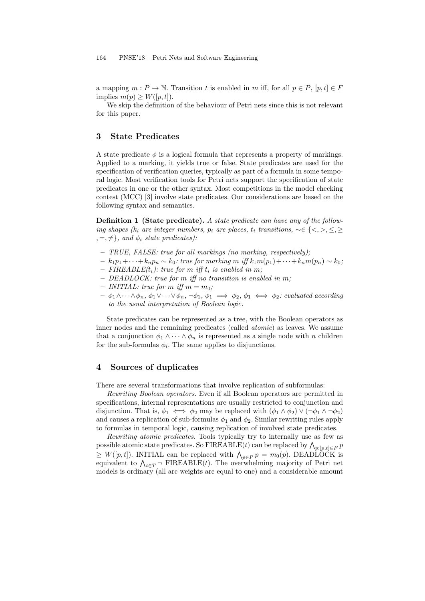a mapping  $m : P \to \mathbb{N}$ . Transition t is enabled in m iff, for all  $p \in P$ ,  $[p, t] \in F$ implies  $m(p) \geq W([p, t]).$ 

We skip the definition of the behaviour of Petri nets since this is not relevant for this paper.

# 3 State Predicates

A state predicate  $\phi$  is a logical formula that represents a property of markings. Applied to a marking, it yields true or false. State predicates are used for the specification of verification queries, typically as part of a formula in some temporal logic. Most verification tools for Petri nets support the specification of state predicates in one or the other syntax. Most competitions in the model checking contest (MCC) [3] involve state predicates. Our considerations are based on the following syntax and semantics.

Definition 1 (State predicate). A state predicate can have any of the following shapes (k<sub>i</sub> are integer numbers, p<sub>i</sub> are places, t<sub>i</sub> transitions,  $\sim \in \{ \leq, >, \leq, \geq \}$  $, =, \neq \}$ , and  $\phi_i$  state predicates):

- TRUE, FALSE: true for all markings (no marking, respectively);
- $k_1p_1+\cdots+k_np_n \sim k_0$ : true for marking m iff  $k_1m(p_1)+\cdots+k_nm(p_n) \sim k_0$ ;
- FIREABLE $(t_i)$ : true for m iff  $t_i$  is enabled in m;
- DEADLOCK: true for m iff no transition is enabled in m;
- INITIAL: true for m iff  $m = m_0$ ;
- $-\phi_1\wedge\cdots\wedge\phi_n, \phi_1\vee\cdots\vee\phi_n, \neg\phi_1, \phi_1 \implies \phi_2, \phi_1 \iff \phi_2$ : evaluated according to the usual interpretation of Boolean logic.

State predicates can be represented as a tree, with the Boolean operators as inner nodes and the remaining predicates (called atomic) as leaves. We assume that a conjunction  $\phi_1 \wedge \cdots \wedge \phi_n$  is represented as a single node with n children for the sub-formulas  $\phi_i$ . The same applies to disjunctions.

#### 4 Sources of duplicates

There are several transformations that involve replication of subformulas:

Rewriting Boolean operators. Even if all Boolean operators are permitted in specifications, internal representations are usually restricted to conjunction and disjunction. That is,  $\phi_1 \iff \phi_2$  may be replaced with  $(\phi_1 \land \phi_2) \lor (\neg \phi_1 \land \neg \phi_2)$ and causes a replication of sub-formulas  $\phi_1$  and  $\phi_2$ . Similar rewriting rules apply to formulas in temporal logic, causing replication of involved state predicates.

Rewriting atomic predicates. Tools typically try to internally use as few as possible atomic state predicates. So FIREABLE(t) can be replaced by  $\bigwedge_{p:[p,t]\in F} p$  $\geq W([p,t])$ . INITIAL can be replaced with  $\bigwedge_{p\in P} p = m_0(p)$ . DEADLOCK is equivalent to  $\bigwedge_{t \in T} \neg$  FIREABLE(*t*). The overwhelming majority of Petri net models is ordinary (all arc weights are equal to one) and a considerable amount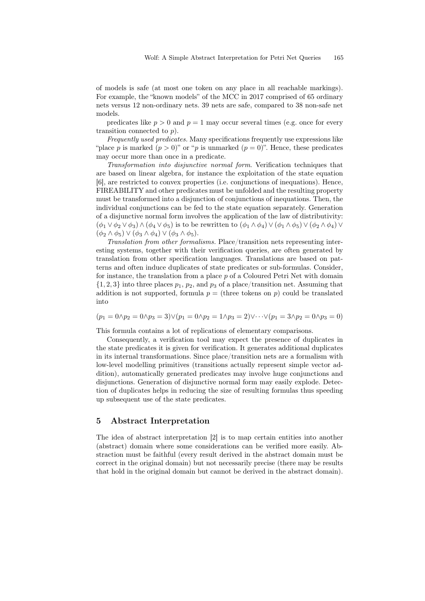of models is safe (at most one token on any place in all reachable markings). For example, the "known models" of the MCC in 2017 comprised of 65 ordinary nets versus 12 non-ordinary nets. 39 nets are safe, compared to 38 non-safe net models.

predicates like  $p > 0$  and  $p = 1$  may occur several times (e.g. once for every transition connected to  $p$ ).

Frequently used predicates. Many specifications frequently use expressions like "place p is marked  $(p > 0)$ " or "p is unmarked  $(p = 0)$ ". Hence, these predicates may occur more than once in a predicate.

Transformation into disjunctive normal form. Verification techniques that are based on linear algebra, for instance the exploitation of the state equation [6], are restricted to convex properties (i.e. conjunctions of inequations). Hence, FIREABILITY and other predicates must be unfolded and the resulting property must be transformed into a disjunction of conjunctions of inequations. Then, the individual conjunctions can be fed to the state equation separately. Generation of a disjunctive normal form involves the application of the law of distributivity:  $(\phi_1 \vee \phi_2 \vee \phi_3) \wedge (\phi_4 \vee \phi_5)$  is to be rewritten to  $(\phi_1 \wedge \phi_4) \vee (\phi_1 \wedge \phi_5) \vee (\phi_2 \wedge \phi_4) \vee$  $(\phi_2 \wedge \phi_5) \vee (\phi_3 \wedge \phi_4) \vee (\phi_3 \wedge \phi_5).$ 

Translation from other formalisms. Place/transition nets representing interesting systems, together with their verification queries, are often generated by translation from other specification languages. Translations are based on patterns and often induce duplicates of state predicates or sub-formulas. Consider, for instance, the translation from a place  $p$  of a Coloured Petri Net with domain  $\{1, 2, 3\}$  into three places  $p_1, p_2$ , and  $p_3$  of a place/transition net. Assuming that addition is not supported, formula  $p =$  (three tokens on p) could be translated into

$$
(p_1 = 0 \land p_2 = 0 \land p_3 = 3) \lor (p_1 = 0 \land p_2 = 1 \land p_3 = 2) \lor \dots \lor (p_1 = 3 \land p_2 = 0 \land p_3 = 0)
$$

This formula contains a lot of replications of elementary comparisons.

Consequently, a verification tool may expect the presence of duplicates in the state predicates it is given for verification. It generates additional duplicates in its internal transformations. Since place/transition nets are a formalism with low-level modelling primitives (transitions actually represent simple vector addition), automatically generated predicates may involve huge conjunctions and disjunctions. Generation of disjunctive normal form may easily explode. Detection of duplicates helps in reducing the size of resulting formulas thus speeding up subsequent use of the state predicates.

### 5 Abstract Interpretation

The idea of abstract interpretation [2] is to map certain entities into another (abstract) domain where some considerations can be verified more easily. Abstraction must be faithful (every result derived in the abstract domain must be correct in the original domain) but not necessarily precise (there may be results that hold in the original domain but cannot be derived in the abstract domain).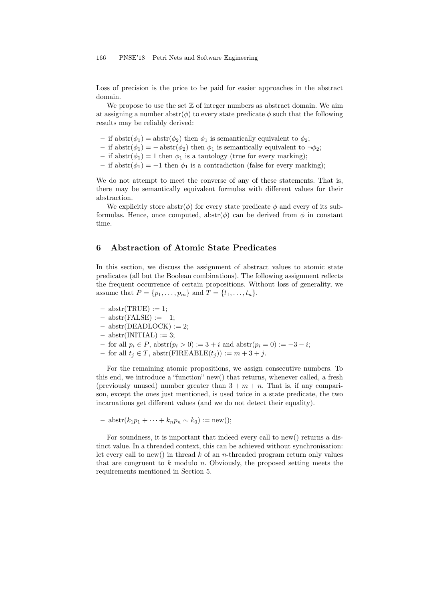#### 166 PNSE'18 – Petri Nets and Software Engineering

Loss of precision is the price to be paid for easier approaches in the abstract domain.

We propose to use the set  $\mathbb Z$  of integer numbers as abstract domain. We aim at assigning a number abstr $(\phi)$  to every state predicate  $\phi$  such that the following results may be reliably derived:

- if  $abstr(\phi_1) = abstr(\phi_2)$  then  $\phi_1$  is semantically equivalent to  $\phi_2$ ;
- if  $abstr(\phi_1) = -abstr(\phi_2)$  then  $\phi_1$  is semantically equivalent to  $\neg \phi_2$ ;
- if  $abstr(\phi_1) = 1$  then  $\phi_1$  is a tautology (true for every marking);
- if  $abstr(\phi_1) = -1$  then  $\phi_1$  is a contradiction (false for every marking);

We do not attempt to meet the converse of any of these statements. That is, there may be semantically equivalent formulas with different values for their abstraction.

We explicitly store abstr $(\phi)$  for every state predicate  $\phi$  and every of its subformulas. Hence, once computed,  $abstr(\phi)$  can be derived from  $\phi$  in constant time.

## 6 Abstraction of Atomic State Predicates

In this section, we discuss the assignment of abstract values to atomic state predicates (all but the Boolean combinations). The following assignment reflects the frequent occurrence of certain propositions. Without loss of generality, we assume that  $P = \{p_1, \ldots, p_m\}$  and  $T = \{t_1, \ldots, t_n\}.$ 

- $-$  abstr(TRUE) := 1;
- $–$  abstr(FALSE)  $:=-1;$
- $-$  abstr(DEADLOCK) := 2;
- $-$  abstr(INITIAL) := 3;
- for all  $p_i \in P$ , abstr $(p_i > 0) := 3 + i$  and abstr $(p_i = 0) := -3 i$ ;
- for all  $t_j$  ∈ T, abstr(FIREABLE $(t_j)$ ) :=  $m+3+j$ .

For the remaining atomic propositions, we assign consecutive numbers. To this end, we introduce a "function" new() that returns, whenever called, a fresh (previously unused) number greater than  $3 + m + n$ . That is, if any comparison, except the ones just mentioned, is used twice in a state predicate, the two incarnations get different values (and we do not detect their equality).

$$
- abstr(k_1p_1 + \cdots + k_np_n \sim k_0) := new();
$$

For soundness, it is important that indeed every call to new() returns a distinct value. In a threaded context, this can be achieved without synchronisation: let every call to new() in thread  $k$  of an *n*-threaded program return only values that are congruent to  $k$  modulo  $n$ . Obviously, the proposed setting meets the requirements mentioned in Section 5.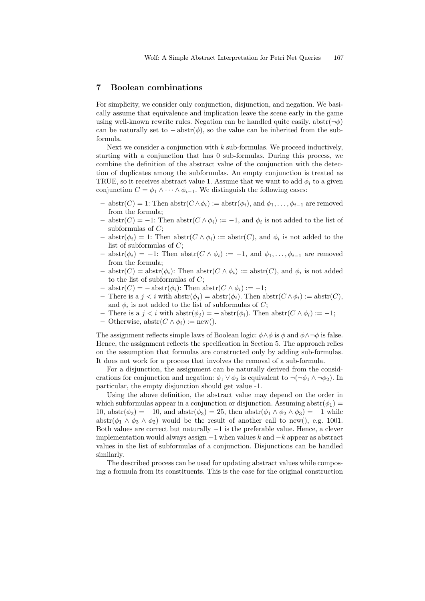#### 7 Boolean combinations

For simplicity, we consider only conjunction, disjunction, and negation. We basically assume that equivalence and implication leave the scene early in the game using well-known rewrite rules. Negation can be handled quite easily. abstr $(\neg \phi)$ can be naturally set to  $-\text{abstr}(\phi)$ , so the value can be inherited from the subformula.

Next we consider a conjunction with  $k$  sub-formulas. We proceed inductively, starting with a conjunction that has 0 sub-formulas. During this process, we combine the definition of the abstract value of the conjunction with the detection of duplicates among the subformulas. An empty conjunction is treated as TRUE, so it receives abstract value 1. Assume that we want to add  $\phi_i$  to a given conjunction  $C = \phi_1 \wedge \cdots \wedge \phi_{i-1}$ . We distinguish the following cases:

- abstr(*C*) = 1: Then abstr(*C* ∧ $\phi$ <sub>*i*</sub>) := abstr( $\phi$ <sub>*i*</sub>), and  $\phi$ <sub>1</sub>, . . . ,  $\phi$ <sub>*i*-1</sub> are removed from the formula;
- $-$  abstr(*C*) = −1: Then abstr(*C* ∧  $\phi_i$ ) := −1, and  $\phi_i$  is not added to the list of subformulas of  $C$ ;
- $-$  abstr $(\phi_i) = 1$ : Then abstr $(C \wedge \phi_i) := \text{abstr}(C)$ , and  $\phi_i$  is not added to the list of subformulas of  $C$ ;
- abstr $(\phi_i)$  = −1: Then abstr $(C \wedge \phi_i) := -1$ , and  $\phi_1, \ldots, \phi_{i-1}$  are removed from the formula;
- $-$  abstr $(C)$  = abstr $(\phi_i)$ : Then abstr $(C \wedge \phi_i)$  := abstr $(C)$ , and  $\phi_i$  is not added to the list of subformulas of  $C$ ;
- $-$  abstr $(C) = -$ abstr $(\phi_i)$ : Then abstr $(C \wedge \phi_i) := -1$ ;
- There is a  $j < i$  with  $abstr(\phi_i) = abstr(\phi_i)$ . Then  $abstr(C \wedge \phi_i) := abstr(C)$ , and  $\phi_i$  is not added to the list of subformulas of C;
- There is a  $j < i$  with  $abstr(\phi_i) = -abstr(\phi_i)$ . Then  $abstr(C \wedge \phi_i) := -1$ ;
- Otherwise,  $abstr(C \wedge \phi_i) := new(.)$ .

The assignment reflects simple laws of Boolean logic:  $\phi \land \phi$  is  $\phi$  and  $\phi \land \neg \phi$  is false. Hence, the assignment reflects the specification in Section 5. The approach relies on the assumption that formulas are constructed only by adding sub-formulas. It does not work for a process that involves the removal of a sub-formula.

For a disjunction, the assignment can be naturally derived from the considerations for conjunction and negation:  $\phi_1 \vee \phi_2$  is equivalent to  $\neg(\neg \phi_1 \wedge \neg \phi_2)$ . In particular, the empty disjunction should get value -1.

Using the above definition, the abstract value may depend on the order in which subformulas appear in a conjunction or disjunction. Assuming abstr $(\phi_1)$  = 10,  $abstr(\phi_2) = -10$ , and  $abstr(\phi_3) = 25$ , then  $abstr(\phi_1 \wedge \phi_2 \wedge \phi_3) = -1$  while abstr $(\phi_1 \wedge \phi_3 \wedge \phi_2)$  would be the result of another call to new(), e.g. 1001. Both values are correct but naturally −1 is the preferable value. Hence, a clever implementation would always assign  $-1$  when values k and  $-k$  appear as abstract values in the list of subformulas of a conjunction. Disjunctions can be handled similarly.

The described process can be used for updating abstract values while composing a formula from its constituents. This is the case for the original construction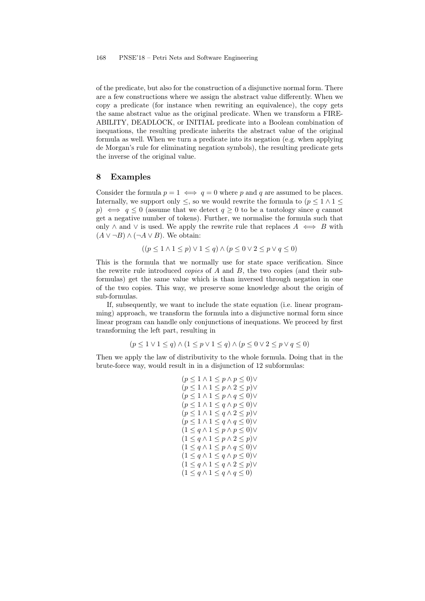#### 168 PNSE'18 – Petri Nets and Software Engineering

of the predicate, but also for the construction of a disjunctive normal form. There are a few constructions where we assign the abstract value differently. When we copy a predicate (for instance when rewriting an equivalence), the copy gets the same abstract value as the original predicate. When we transform a FIRE-ABILITY, DEADLOCK, or INITIAL predicate into a Boolean combination of inequations, the resulting predicate inherits the abstract value of the original formula as well. When we turn a predicate into its negation (e.g. when applying de Morgan's rule for eliminating negation symbols), the resulting predicate gets the inverse of the original value.

# 8 Examples

Consider the formula  $p = 1 \iff q = 0$  where p and q are assumed to be places. Internally, we support only  $\leq$ , so we would rewrite the formula to  $(p \leq 1 \land 1 \leq$ p)  $\iff$  q < 0 (assume that we detect  $q > 0$  to be a tautology since q cannot get a negative number of tokens). Further, we normalise the formula such that only  $\land$  and  $\lor$  is used. We apply the rewrite rule that replaces  $A \iff B$  with  $(A \vee \neg B) \wedge (\neg A \vee B)$ . We obtain:

$$
((p \leq 1 \land 1 \leq p) \lor 1 \leq q) \land (p \leq 0 \lor 2 \leq p \lor q \leq 0)
$$

This is the formula that we normally use for state space verification. Since the rewrite rule introduced *copies* of  $A$  and  $B$ , the two copies (and their subformulas) get the same value which is than inversed through negation in one of the two copies. This way, we preserve some knowledge about the origin of sub-formulas.

If, subsequently, we want to include the state equation (i.e. linear programming) approach, we transform the formula into a disjunctive normal form since linear program can handle only conjunctions of inequations. We proceed by first transforming the left part, resulting in

 $(p \leq 1 \vee 1 \leq q) \wedge (1 \leq p \vee 1 \leq q) \wedge (p \leq 0 \vee 2 \leq p \vee q \leq 0)$ 

Then we apply the law of distributivity to the whole formula. Doing that in the brute-force way, would result in in a disjunction of 12 subformulas:

$$
(p \leq 1 \land 1 \leq p \land p \leq 0) \lor
$$
  
\n
$$
(p \leq 1 \land 1 \leq p \land 2 \leq p) \lor
$$
  
\n
$$
(p \leq 1 \land 1 \leq p \land q \leq 0) \lor
$$
  
\n
$$
(p \leq 1 \land 1 \leq q \land p \leq 0) \lor
$$
  
\n
$$
(p \leq 1 \land 1 \leq q \land 2 \leq p) \lor
$$
  
\n
$$
(p \leq 1 \land 1 \leq q \land q \leq 0) \lor
$$
  
\n
$$
(1 \leq q \land 1 \leq p \land p \leq 0) \lor
$$
  
\n
$$
(1 \leq q \land 1 \leq p \land q \leq 0) \lor
$$
  
\n
$$
(1 \leq q \land 1 \leq q \land p \leq 0) \lor
$$
  
\n
$$
(1 \leq q \land 1 \leq q \land 2 \leq p) \lor
$$
  
\n
$$
(1 \leq q \land 1 \leq q \land 2 \leq p) \lor
$$
  
\n
$$
(1 \leq q \land 1 \leq q \land q \leq 0)
$$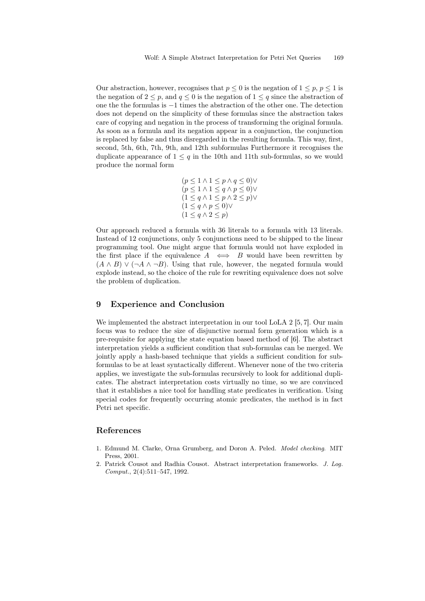Our abstraction, however, recognises that  $p \leq 0$  is the negation of  $1 \leq p, p \leq 1$  is the negation of  $2 \leq p$ , and  $q \leq 0$  is the negation of  $1 \leq q$  since the abstraction of one the the formulas is −1 times the abstraction of the other one. The detection does not depend on the simplicity of these formulas since the abstraction takes care of copying and negation in the process of transforming the original formula. As soon as a formula and its negation appear in a conjunction, the conjunction is replaced by false and thus disregarded in the resulting formula. This way, first, second, 5th, 6th, 7th, 9th, and 12th subformulas Furthermore it recognises the duplicate appearance of  $1 \leq q$  in the 10th and 11th sub-formulas, so we would produce the normal form

$$
(p \leq 1 \land 1 \leq p \land q \leq 0) \lor (p \leq 1 \land 1 \leq q \land p \leq 0) \lor (1 \leq q \land 1 \leq p \land 2 \leq p) \lor (1 \leq q \land p \leq 0) \lor (1 \leq q \land 2 \leq p)
$$

Our approach reduced a formula with 36 literals to a formula with 13 literals. Instead of 12 conjunctions, only 5 conjunctions need to be shipped to the linear programming tool. One might argue that formula would not have exploded in the first place if the equivalence  $A \iff B$  would have been rewritten by  $(A \wedge B) \vee (\neg A \wedge \neg B)$ . Using that rule, however, the negated formula would explode instead, so the choice of the rule for rewriting equivalence does not solve the problem of duplication.

# 9 Experience and Conclusion

We implemented the abstract interpretation in our tool LoLA 2 [5, 7]. Our main focus was to reduce the size of disjunctive normal form generation which is a pre-requisite for applying the state equation based method of [6]. The abstract interpretation yields a sufficient condition that sub-formulas can be merged. We jointly apply a hash-based technique that yields a sufficient condition for subformulas to be at least syntactically different. Whenever none of the two criteria applies, we investigate the sub-formulas recursively to look for additional duplicates. The abstract interpretation costs virtually no time, so we are convinced that it establishes a nice tool for handling state predicates in verification. Using special codes for frequently occurring atomic predicates, the method is in fact Petri net specific.

# References

- 1. Edmund M. Clarke, Orna Grumberg, and Doron A. Peled. Model checking. MIT Press, 2001.
- 2. Patrick Cousot and Radhia Cousot. Abstract interpretation frameworks. J. Log. Comput., 2(4):511–547, 1992.